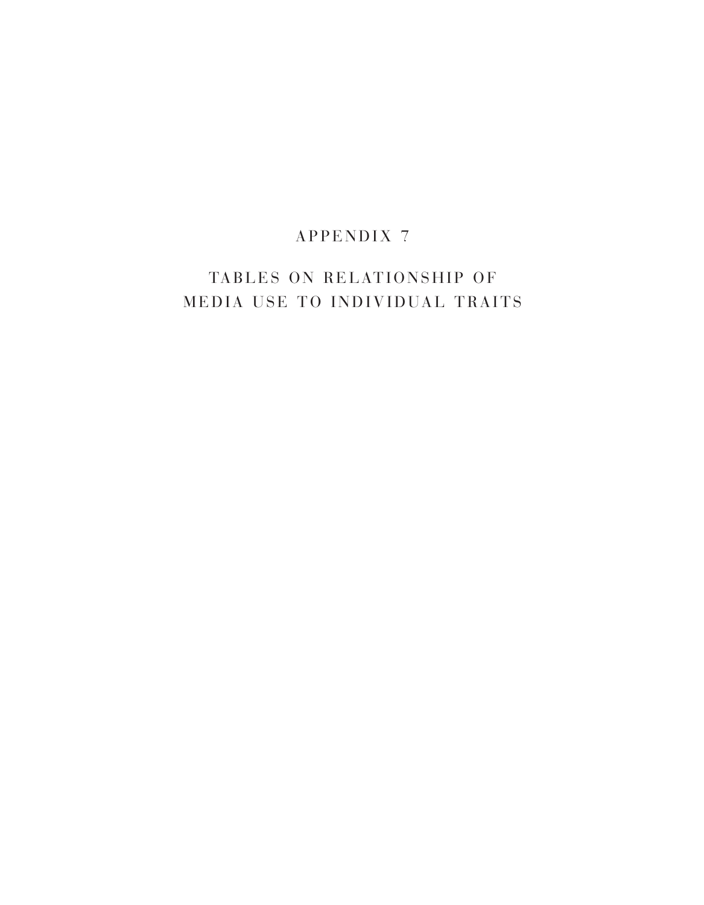## A P P E N D I X 7

# TABLES ON RELATIONSHIP OF MEDIA USE TO INDIVIDUAL TRAITS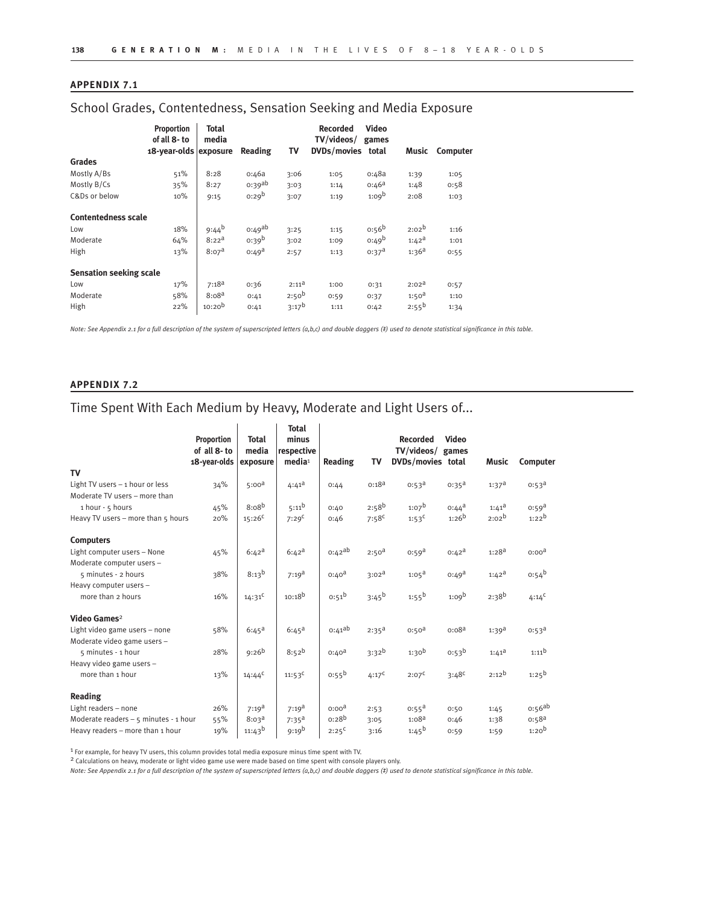### **APPENDIX 7.1**

### School Grades, Contentedness, Sensation Seeking and Media Exposure

|                                | Proportion<br>of all 8- to<br>18-year-olds exposure | Total<br>media    | Reading            | TV                | <b>Recorded</b><br>TV/videos/<br>DVDs/movies total | <b>Video</b><br>games | Music             | Computer |
|--------------------------------|-----------------------------------------------------|-------------------|--------------------|-------------------|----------------------------------------------------|-----------------------|-------------------|----------|
| Grades                         |                                                     |                   |                    |                   |                                                    |                       |                   |          |
| Mostly A/Bs                    | 51%                                                 | 8:28              | o:46a              | 3:06              | 1:05                                               | 0:48a                 | 1:39              | 1:05     |
| Mostly B/Cs                    | 35%                                                 | 8:27              | 0:39 <sup>ab</sup> | 3:03              | 1:14                                               | $0:46^a$              | 1:48              | 0:58     |
| C&Ds or below                  | 10%                                                 | 9:15              | $0:29^{b}$         | 3:07              | 1:19                                               | 1:09 <sup>b</sup>     | 2:08              | 1:03     |
| <b>Contentedness scale</b>     |                                                     |                   |                    |                   |                                                    |                       |                   |          |
| Low                            | 18%                                                 | $9:44^{b}$        | $0:49^{ab}$        | 3:25              | 1:15                                               | 0:56 <sup>b</sup>     | $2:02^{b}$        | 1:16     |
| Moderate                       | 64%                                                 | $8:22^{a}$        | 0:39 <sup>b</sup>  | 3:02              | 1:09                                               | $0:49^{b}$            | $1:42^a$          | 1:01     |
| High                           | 13%                                                 | 8:07 <sup>a</sup> | $0:49^{\text{a}}$  | 2:57              | 1:13                                               | 0:37 <sup>d</sup>     | 1:36 <sup>a</sup> | 0:55     |
| <b>Sensation seeking scale</b> |                                                     |                   |                    |                   |                                                    |                       |                   |          |
| Low                            | 17%                                                 | $7:18^{a}$        | 0:36               | $2:11^{\text{d}}$ | 1:00                                               | 0:31                  | 2:02 <sup>d</sup> | 0:57     |
| Moderate                       | 58%                                                 | 8:08 <sup>a</sup> | 0:41               | $2:50^{b}$        | 0:59                                               | 0:37                  | 1:50 <sup>d</sup> | 1:10     |
| High                           | 22%                                                 | $10:20^{b}$       | 0:41               | $3:17^{b}$        | 1:11                                               | 0:42                  | $2:55^{b}$        | 1:34     |

*Note: See Appendix 2.1 for a full description of the system of superscripted letters (a,b,c) and double daggers (‡) used to denote statistical significance in this table.* 

#### **APPENDIX 7.2**

## Time Spent With Each Medium by Heavy, Moderate and Light Users of...

|                                                                   | <b>Proportion</b><br>of all 8- to<br>18-year-olds | <b>Total</b><br>media<br>exposure | <b>Total</b><br>minus<br>respective<br>media <sup>1</sup> | Reading           | TV                | <b>Recorded</b><br>TV/videos/ games<br>DVDs/movies total | Video             | <b>Music</b>      | Computer          |
|-------------------------------------------------------------------|---------------------------------------------------|-----------------------------------|-----------------------------------------------------------|-------------------|-------------------|----------------------------------------------------------|-------------------|-------------------|-------------------|
| TV                                                                |                                                   |                                   |                                                           |                   |                   |                                                          |                   |                   |                   |
| Light TV users $-1$ hour or less<br>Moderate TV users - more than | 34%                                               | $5:00^{a}$                        | $4:41^a$                                                  | 0:44              | $0:18^{a}$        | $0:53^{\text{a}}$                                        | $0:35^{\text{a}}$ | $1:37^a$          | $0:53^{\text{a}}$ |
| 1 hour - 5 hours                                                  | 45%                                               | $8:08^{b}$                        | $5:11^{b}$                                                | 0:40              | $2:58^{b}$        | $1:07^{b}$                                               | $0:44^{\text{a}}$ | $1:41^{\text{a}}$ | $0:59^{a}$        |
| Heavy TV users - more than 5 hours                                | 20%                                               | $15:26^C$                         | 7:29 <sup>C</sup>                                         | 0:46              | $7:58^{c}$        | $1:53^C$                                                 | $1:26^{b}$        | $2:02^{b}$        | $1:22^{b}$        |
| <b>Computers</b>                                                  |                                                   |                                   |                                                           |                   |                   |                                                          |                   |                   |                   |
| Light computer users - None<br>Moderate computer users -          | 45%                                               | $6:42^{\text{a}}$                 | $6:42^{\text{a}}$                                         | 0:42ab            | $2:50^{a}$        | $0:59^{a}$                                               | $0:42^{a}$        | $1:28^{a}$        | 0:00 <sup>d</sup> |
| 5 minutes - 2 hours                                               | 38%                                               | $8:13^{b}$                        | $7:19^{a}$                                                | $0:40^{\text{d}}$ | 3:02 <sup>a</sup> | $1:05^{\text{a}}$                                        | $0:49^{\text{a}}$ | $1:42^a$          | $0:54^{b}$        |
| Heavy computer users -                                            |                                                   |                                   |                                                           |                   |                   |                                                          |                   |                   |                   |
| more than 2 hours                                                 | 16%                                               | $14:31^C$                         | $10:18^{b}$                                               | $0:51^{b}$        | $3:45^{b}$        | $1:55^{b}$                                               | 1:09 <sup>b</sup> | $2:38^{b}$        | $4:14^C$          |
| Video Games <sup>2</sup>                                          |                                                   |                                   |                                                           |                   |                   |                                                          |                   |                   |                   |
| Light video game users - none                                     | 58%                                               | $6:45^{\circ}$                    | $6:45^a$                                                  | $0:41^{ab}$       | $2:35^{a}$        | 0:50 <sup>d</sup>                                        | 0:08 <sup>a</sup> | $1:39^{a}$        | $0:53^{\text{d}}$ |
| Moderate video game users -                                       |                                                   |                                   |                                                           |                   |                   |                                                          |                   |                   |                   |
| 5 minutes - 1 hour                                                | 28%                                               | $9:26^{b}$                        | $8:52^{b}$                                                | $0:40^{\text{d}}$ | $3:32^{b}$        | 1:30 <sup>b</sup>                                        | $0:53^{b}$        | $1:41^{\text{a}}$ | $1:11^{b}$        |
| Heavy video game users -                                          |                                                   |                                   |                                                           |                   |                   |                                                          |                   |                   |                   |
| more than 1 hour                                                  | 13%                                               | $14:44^C$                         | $11:53^C$                                                 | $0:55^{b}$        | $4:17^C$          | $2:07^C$                                                 | $3:48^{c}$        | $2:12^{b}$        | $1:25^{b}$        |
| Reading                                                           |                                                   |                                   |                                                           |                   |                   |                                                          |                   |                   |                   |
| Light readers - none                                              | 26%                                               | $7:19^{\text{a}}$                 | $7:19^{\text{a}}$                                         | 0:00 <sup>d</sup> | 2:53              | $0:55^a$                                                 | 0:50              | 1:45              | 0.56ab            |
| Moderate readers - 5 minutes - 1 hour                             | 55%                                               | 8:03 <sup>d</sup>                 | $7:35^a$                                                  | $0:28^{b}$        | 3:05              | 1:08 <sup>a</sup>                                        | 0:46              | 1:38              | $0:58^{a}$        |
| Heavy readers - more than 1 hour                                  | 19%                                               | $11:43^{b}$                       | $9:19^{b}$                                                | $2:25^C$          | 3:16              | $1:45^{b}$                                               | 0:59              | 1:59              | 1:20 <sup>b</sup> |

1 For example, for heavy TV users, this column provides total media exposure minus time spent with TV.

<sup>2</sup> Calculations on heavy, moderate or light video game use were made based on time spent with console players only.

*Note: See Appendix 2.1 for a full description of the system of superscripted letters (a,b,c) and double daggers (‡) used to denote statistical significance in this table.*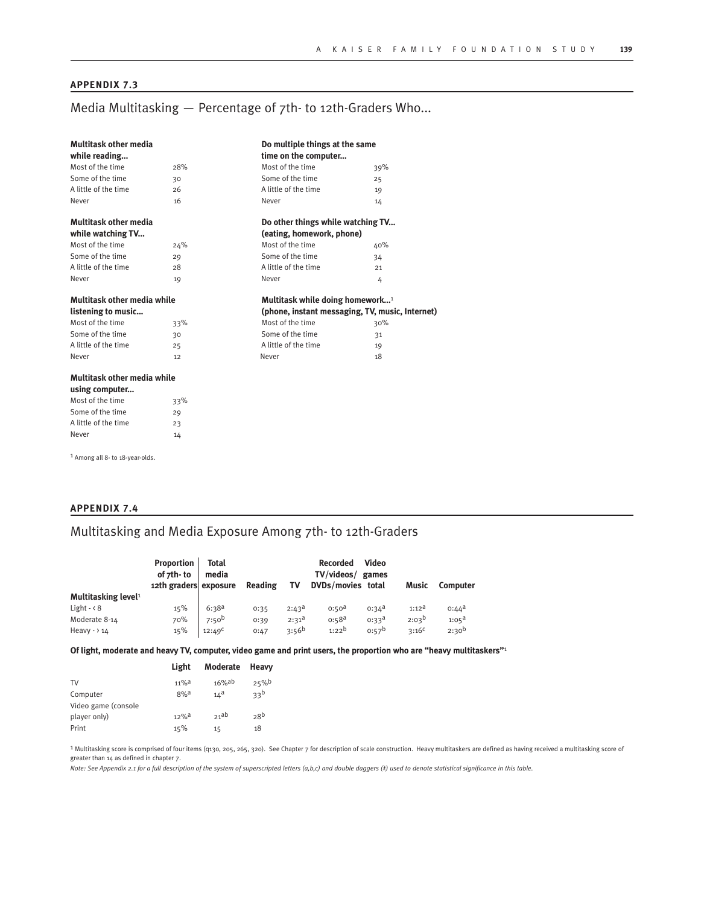#### **APPENDIX 7.3**

### Media Multitasking — Percentage of 7th- to 12th-Graders Who...

| <b>Multitask other media</b> | Do multiple things at the same |                                             |                                                 |  |  |
|------------------------------|--------------------------------|---------------------------------------------|-------------------------------------------------|--|--|
| while reading                |                                | time on the computer                        |                                                 |  |  |
| Most of the time             | 28%                            | Most of the time                            | 39%                                             |  |  |
| Some of the time             | 30                             | Some of the time                            | 25                                              |  |  |
| A little of the time         | 26                             | A little of the time                        | 19                                              |  |  |
| Never                        | 16                             | Never                                       | 14                                              |  |  |
| Multitask other media        |                                | Do other things while watching TV           |                                                 |  |  |
| while watching TV            |                                | (eating, homework, phone)                   |                                                 |  |  |
| Most of the time             | 24%                            | Most of the time                            | 40%                                             |  |  |
| Some of the time             | 29                             | Some of the time                            | 34                                              |  |  |
| A little of the time         | 28                             | A little of the time                        | 21                                              |  |  |
| Never                        | 19                             | Never                                       | 4                                               |  |  |
| Multitask other media while  |                                | Multitask while doing homework <sup>1</sup> |                                                 |  |  |
| listening to music           |                                |                                             | (phone, instant messaging, TV, music, Internet) |  |  |
| Most of the time             | 33%                            | Most of the time                            | 30%                                             |  |  |
| Some of the time             | 30                             | Some of the time                            | 31                                              |  |  |
| A little of the time         | 25                             | A little of the time                        | 19                                              |  |  |
| Never                        | 12                             | Never                                       | 18                                              |  |  |
| Multitask other media while  |                                |                                             |                                                 |  |  |
| using computer               |                                |                                             |                                                 |  |  |
| Most of the time             | 33%                            |                                             |                                                 |  |  |
| Some of the time             | 29                             |                                             |                                                 |  |  |
| A little of the time         | 23                             |                                             |                                                 |  |  |
| Never                        | 14                             |                                             |                                                 |  |  |
|                              |                                |                                             |                                                 |  |  |

1 Among all 8- to 18-year-olds.

#### **APPENDIX 7.4**

### Multitasking and Media Exposure Among 7th- to 12th-Graders

|                                 | Proportion<br>of 7th-to<br>12th graders exposure | <b>Total</b><br>media | Reading | Т٧         | <b>Recorded</b><br>TV/videos/ games<br>DVDs/movies total | Video             | Music          | <b>Computer</b>   |
|---------------------------------|--------------------------------------------------|-----------------------|---------|------------|----------------------------------------------------------|-------------------|----------------|-------------------|
| Multitasking level <sup>1</sup> |                                                  |                       |         |            |                                                          |                   |                |                   |
| Light $ \leq$ 8                 | 15%                                              | $6:38^{a}$            | 0:35    | $2:43^a$   | $0:50^{a}$                                               | $0:34^{a}$        | $1:12^a$       | $0:44^{\text{a}}$ |
| Moderate 8-14                   | 70%                                              | 7:50 <sup>b</sup>     | 0:39    | $2:31^{a}$ | $0:58^{a}$                                               | $0:33^{\text{a}}$ | $2:03^{b}$     | $1:05^{\text{a}}$ |
| Heavy - $> 14$                  | 15%                                              | $12:49^C$             | 0:47    | $3:56^{b}$ | $1:22^{b}$                                               | $0:57^{b}$        | $3:16^{\circ}$ | $2:30^{b}$        |

**Of light, moderate and heavy TV, computer, video game and print users, the proportion who are "heavy multitaskers"**1

|                     | Light               | <b>Moderate</b> | Heavy           |
|---------------------|---------------------|-----------------|-----------------|
| TV                  | $11\%$ <sup>a</sup> | $16%$ ab        | 25%             |
| Computer            | $8%$ a              | $14^{\text{a}}$ | 33 <sub>p</sub> |
| Video game (console |                     |                 |                 |
| player only)        | $12%$ <sup>a</sup>  | 21ab            | 28 <sup>b</sup> |
| Print               | 15%                 | 15              | 18              |
|                     |                     |                 |                 |

1 Multitasking score is comprised of four items (q130, 205, 265, 320). See Chapter 7 for description of scale construction. Heavy multitaskers are defined as having received a multitasking score of greater than 14 as defined in chapter 7.

*Note: See Appendix 2.1 for a full description of the system of superscripted letters (a,b,c) and double daggers (‡) used to denote statistical significance in this table.*